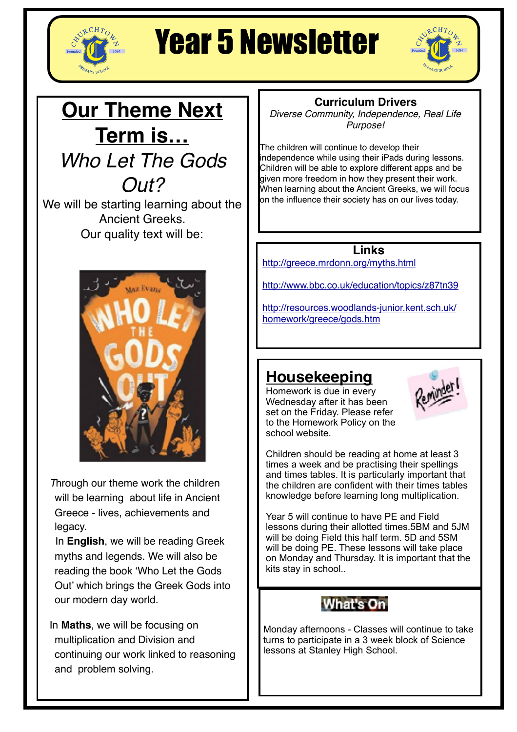

## Year 5 Newsletter



## **Our Theme Next Term is…** *Who Let The Gods Out?*

We will be starting learning about the Ancient Greeks. Our quality text will be:



*T*hrough our theme work the children will be learning about life in Ancient Greece - lives, achievements and legacy.

 In **English**, we will be reading Greek myths and legends. We will also be reading the book 'Who Let the Gods Out' which brings the Greek Gods into our modern day world.

In **Maths**, we will be focusing on multiplication and Division and continuing our work linked to reasoning and problem solving.

#### **Curriculum Drivers**

*Diverse Community, Independence, Real Life Purpose!*

The children will continue to develop their independence while using their iPads during lessons. Children will be able to explore different apps and be given more freedom in how they present their work. When learning about the Ancient Greeks, we will focus on the influence their society has on our lives today.

#### **Links**

<http://greece.mrdonn.org/myths.html>

<http://www.bbc.co.uk/education/topics/z87tn39>

[http://resources.woodlands-junior.kent.sch.uk/](http://resources.woodlands-junior.kent.sch.uk/homework/greece/gods.htm) [homework/greece/gods.htm](http://resources.woodlands-junior.kent.sch.uk/homework/greece/gods.htm)

## **Housekeeping**

Homework is due in every Wednesday after it has been set on the Friday. Please refer to the Homework Policy on the school website.



Children should be reading at home at least 3 times a week and be practising their spellings and times tables. It is particularly important that the children are confident with their times tables knowledge before learning long multiplication.

Year 5 will continue to have PE and Field lessons during their allotted times.5BM and 5JM will be doing Field this half term. 5D and 5SM will be doing PE. These lessons will take place on Monday and Thursday. It is important that the kits stay in school..



Monday afternoons - Classes will continue to take turns to participate in a 3 week block of Science lessons at Stanley High School.